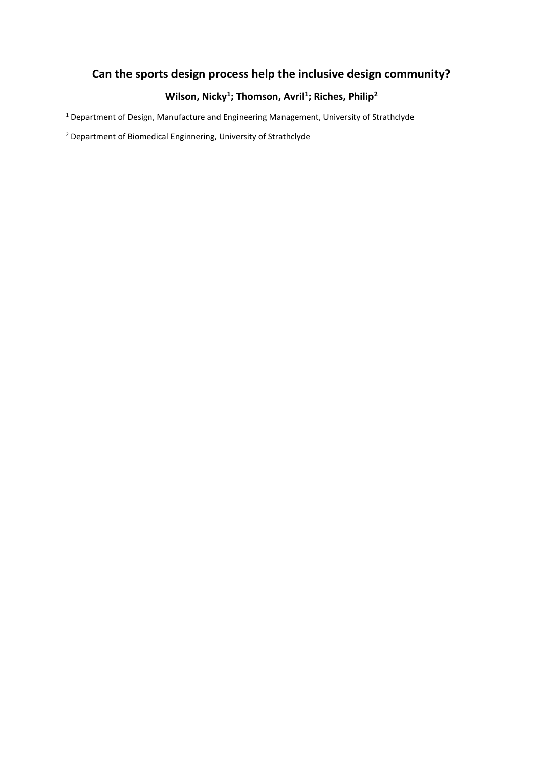# **Can the sports design process help the inclusive design community?**

# **Wilson, Nicky<sup>1</sup> ; Thomson, Avril<sup>1</sup> ; Riches, Philip<sup>2</sup>**

<sup>1</sup> Department of Design, Manufacture and Engineering Management, University of Strathclyde

<sup>2</sup> Department of Biomedical Enginnering, University of Strathclyde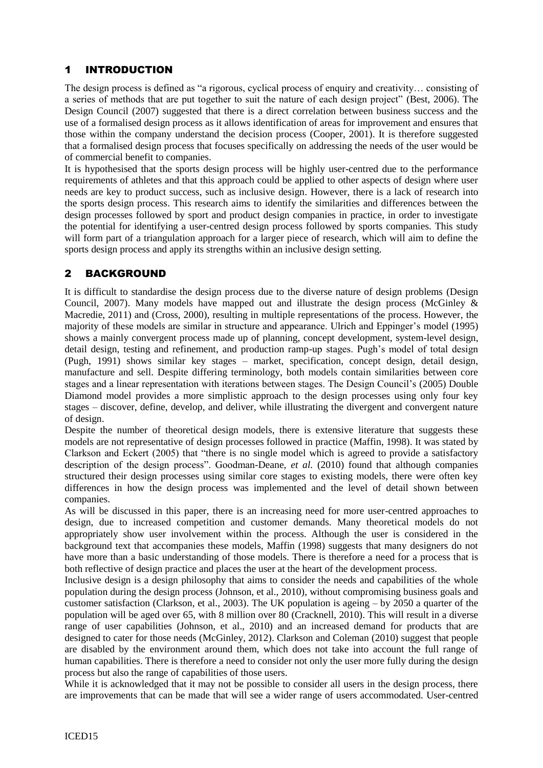# 1 INTRODUCTION

The design process is defined as "a rigorous, cyclical process of enquiry and creativity… consisting of a series of methods that are put together to suit the nature of each design project" (Best, 2006). The Design Council (2007) suggested that there is a direct correlation between business success and the use of a formalised design process as it allows identification of areas for improvement and ensures that those within the company understand the decision process (Cooper, 2001). It is therefore suggested that a formalised design process that focuses specifically on addressing the needs of the user would be of commercial benefit to companies.

It is hypothesised that the sports design process will be highly user-centred due to the performance requirements of athletes and that this approach could be applied to other aspects of design where user needs are key to product success, such as inclusive design. However, there is a lack of research into the sports design process. This research aims to identify the similarities and differences between the design processes followed by sport and product design companies in practice, in order to investigate the potential for identifying a user-centred design process followed by sports companies. This study will form part of a triangulation approach for a larger piece of research, which will aim to define the sports design process and apply its strengths within an inclusive design setting.

# 2 BACKGROUND

It is difficult to standardise the design process due to the diverse nature of design problems (Design Council, 2007). Many models have mapped out and illustrate the design process (McGinley & Macredie, 2011) and (Cross, 2000), resulting in multiple representations of the process. However, the majority of these models are similar in structure and appearance. Ulrich and Eppinger's model (1995) shows a mainly convergent process made up of planning, concept development, system-level design, detail design, testing and refinement, and production ramp-up stages. Pugh's model of total design (Pugh, 1991) shows similar key stages – market, specification, concept design, detail design, manufacture and sell. Despite differing terminology, both models contain similarities between core stages and a linear representation with iterations between stages. The Design Council's (2005) Double Diamond model provides a more simplistic approach to the design processes using only four key stages – discover, define, develop, and deliver, while illustrating the divergent and convergent nature of design.

Despite the number of theoretical design models, there is extensive literature that suggests these models are not representative of design processes followed in practice (Maffin, 1998). It was stated by Clarkson and Eckert (2005) that "there is no single model which is agreed to provide a satisfactory description of the design process". Goodman-Deane, *et al.* (2010) found that although companies structured their design processes using similar core stages to existing models, there were often key differences in how the design process was implemented and the level of detail shown between companies.

As will be discussed in this paper, there is an increasing need for more user-centred approaches to design, due to increased competition and customer demands. Many theoretical models do not appropriately show user involvement within the process. Although the user is considered in the background text that accompanies these models, Maffin (1998) suggests that many designers do not have more than a basic understanding of those models. There is therefore a need for a process that is both reflective of design practice and places the user at the heart of the development process.

Inclusive design is a design philosophy that aims to consider the needs and capabilities of the whole population during the design process (Johnson, et al., 2010), without compromising business goals and customer satisfaction (Clarkson, et al., 2003). The UK population is ageing – by 2050 a quarter of the population will be aged over 65, with 8 million over 80 (Cracknell, 2010). This will result in a diverse range of user capabilities (Johnson, et al., 2010) and an increased demand for products that are designed to cater for those needs (McGinley, 2012). Clarkson and Coleman (2010) suggest that people are disabled by the environment around them, which does not take into account the full range of human capabilities. There is therefore a need to consider not only the user more fully during the design process but also the range of capabilities of those users.

While it is acknowledged that it may not be possible to consider all users in the design process, there are improvements that can be made that will see a wider range of users accommodated. User-centred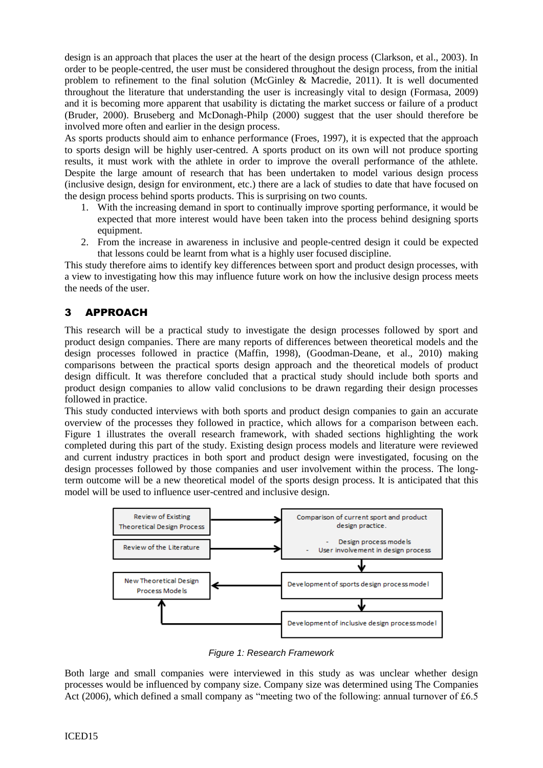design is an approach that places the user at the heart of the design process (Clarkson, et al., 2003). In order to be people-centred, the user must be considered throughout the design process, from the initial problem to refinement to the final solution (McGinley & Macredie, 2011). It is well documented throughout the literature that understanding the user is increasingly vital to design (Formasa, 2009) and it is becoming more apparent that usability is dictating the market success or failure of a product (Bruder, 2000). Bruseberg and McDonagh-Philp (2000) suggest that the user should therefore be involved more often and earlier in the design process.

As sports products should aim to enhance performance (Froes, 1997), it is expected that the approach to sports design will be highly user-centred. A sports product on its own will not produce sporting results, it must work with the athlete in order to improve the overall performance of the athlete. Despite the large amount of research that has been undertaken to model various design process (inclusive design, design for environment, etc.) there are a lack of studies to date that have focused on the design process behind sports products. This is surprising on two counts.

- 1. With the increasing demand in sport to continually improve sporting performance, it would be expected that more interest would have been taken into the process behind designing sports equipment.
- 2. From the increase in awareness in inclusive and people-centred design it could be expected that lessons could be learnt from what is a highly user focused discipline.

This study therefore aims to identify key differences between sport and product design processes, with a view to investigating how this may influence future work on how the inclusive design process meets the needs of the user.

# 3 APPROACH

This research will be a practical study to investigate the design processes followed by sport and product design companies. There are many reports of differences between theoretical models and the design processes followed in practice (Maffin, 1998), (Goodman-Deane, et al., 2010) making comparisons between the practical sports design approach and the theoretical models of product design difficult. It was therefore concluded that a practical study should include both sports and product design companies to allow valid conclusions to be drawn regarding their design processes followed in practice.

This study conducted interviews with both sports and product design companies to gain an accurate overview of the processes they followed in practice, which allows for a comparison between each. Figure 1 illustrates the overall research framework, with shaded sections highlighting the work completed during this part of the study. Existing design process models and literature were reviewed and current industry practices in both sport and product design were investigated, focusing on the design processes followed by those companies and user involvement within the process. The longterm outcome will be a new theoretical model of the sports design process. It is anticipated that this model will be used to influence user-centred and inclusive design.



*Figure 1: Research Framework*

Both large and small companies were interviewed in this study as was unclear whether design processes would be influenced by company size. Company size was determined using The Companies Act (2006), which defined a small company as "meeting two of the following: annual turnover of £6.5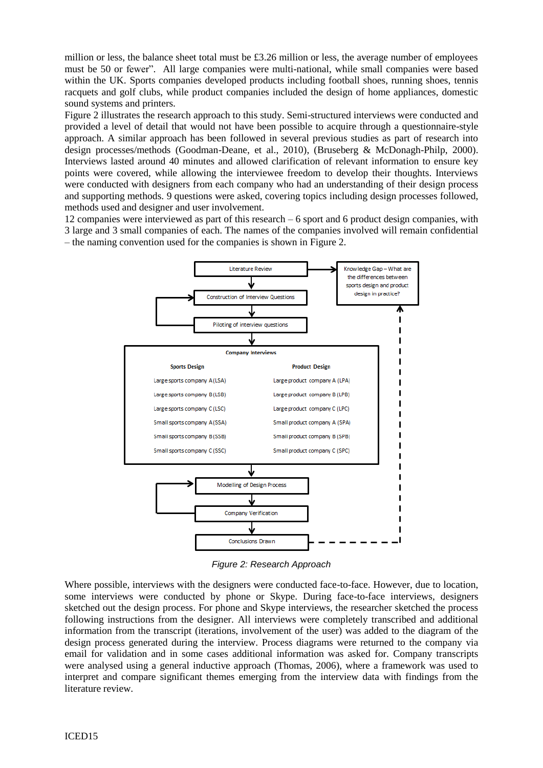million or less, the balance sheet total must be  $\text{\pounds}3.26$  million or less, the average number of employees must be 50 or fewer". All large companies were multi-national, while small companies were based within the UK. Sports companies developed products including football shoes, running shoes, tennis racquets and golf clubs, while product companies included the design of home appliances, domestic sound systems and printers.

Figure 2 illustrates the research approach to this study. Semi-structured interviews were conducted and provided a level of detail that would not have been possible to acquire through a questionnaire-style approach. A similar approach has been followed in several previous studies as part of research into design processes/methods (Goodman-Deane, et al., 2010), (Bruseberg & McDonagh-Philp, 2000). Interviews lasted around 40 minutes and allowed clarification of relevant information to ensure key points were covered, while allowing the interviewee freedom to develop their thoughts. Interviews were conducted with designers from each company who had an understanding of their design process and supporting methods. 9 questions were asked, covering topics including design processes followed, methods used and designer and user involvement.

12 companies were interviewed as part of this research – 6 sport and 6 product design companies, with 3 large and 3 small companies of each. The names of the companies involved will remain confidential – the naming convention used for the companies is shown in Figure 2.



*Figure 2: Research Approach*

Where possible, interviews with the designers were conducted face-to-face. However, due to location, some interviews were conducted by phone or Skype. During face-to-face interviews, designers sketched out the design process. For phone and Skype interviews, the researcher sketched the process following instructions from the designer. All interviews were completely transcribed and additional information from the transcript (iterations, involvement of the user) was added to the diagram of the design process generated during the interview. Process diagrams were returned to the company via email for validation and in some cases additional information was asked for. Company transcripts were analysed using a general inductive approach (Thomas, 2006), where a framework was used to interpret and compare significant themes emerging from the interview data with findings from the literature review.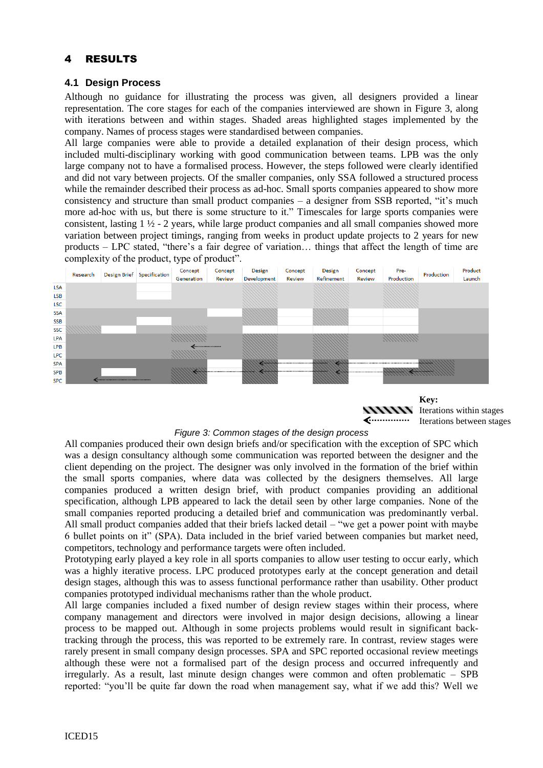## 4 RESULTS

#### **4.1 Design Process**

Although no guidance for illustrating the process was given, all designers provided a linear representation. The core stages for each of the companies interviewed are shown in Figure 3, along with iterations between and within stages. Shaded areas highlighted stages implemented by the company. Names of process stages were standardised between companies.

All large companies were able to provide a detailed explanation of their design process, which included multi-disciplinary working with good communication between teams. LPB was the only large company not to have a formalised process. However, the steps followed were clearly identified and did not vary between projects. Of the smaller companies, only SSA followed a structured process while the remainder described their process as ad-hoc. Small sports companies appeared to show more consistency and structure than small product companies – a designer from SSB reported, "it's much more ad-hoc with us, but there is some structure to it." Timescales for large sports companies were consistent, lasting 1 ½ - 2 years, while large product companies and all small companies showed more variation between project timings, ranging from weeks in product update projects to 2 years for new products – LPC stated, "there's a fair degree of variation… things that affect the length of time are complexity of the product, type of product".





Iterations within stages Iterations between stages

#### *Figure 3: Common stages of the design process*

All companies produced their own design briefs and/or specification with the exception of SPC which was a design consultancy although some communication was reported between the designer and the client depending on the project. The designer was only involved in the formation of the brief within the small sports companies, where data was collected by the designers themselves. All large companies produced a written design brief, with product companies providing an additional specification, although LPB appeared to lack the detail seen by other large companies. None of the small companies reported producing a detailed brief and communication was predominantly verbal. All small product companies added that their briefs lacked detail – "we get a power point with maybe 6 bullet points on it" (SPA). Data included in the brief varied between companies but market need, competitors, technology and performance targets were often included.

Prototyping early played a key role in all sports companies to allow user testing to occur early, which was a highly iterative process. LPC produced prototypes early at the concept generation and detail design stages, although this was to assess functional performance rather than usability. Other product companies prototyped individual mechanisms rather than the whole product.

All large companies included a fixed number of design review stages within their process, where company management and directors were involved in major design decisions, allowing a linear process to be mapped out. Although in some projects problems would result in significant backtracking through the process, this was reported to be extremely rare. In contrast, review stages were rarely present in small company design processes. SPA and SPC reported occasional review meetings although these were not a formalised part of the design process and occurred infrequently and irregularly. As a result, last minute design changes were common and often problematic – SPB reported: "you'll be quite far down the road when management say, what if we add this? Well we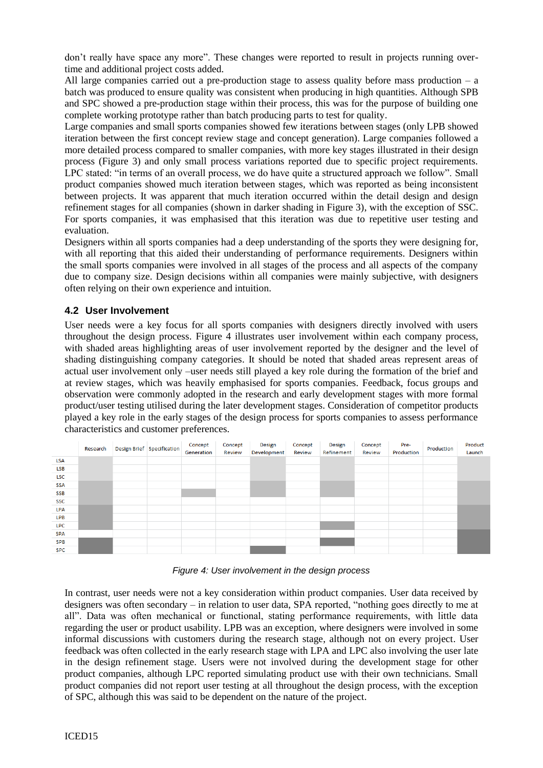don't really have space any more". These changes were reported to result in projects running overtime and additional project costs added.

All large companies carried out a pre-production stage to assess quality before mass production  $- a$ batch was produced to ensure quality was consistent when producing in high quantities. Although SPB and SPC showed a pre-production stage within their process, this was for the purpose of building one complete working prototype rather than batch producing parts to test for quality.

Large companies and small sports companies showed few iterations between stages (only LPB showed iteration between the first concept review stage and concept generation). Large companies followed a more detailed process compared to smaller companies, with more key stages illustrated in their design process (Figure 3) and only small process variations reported due to specific project requirements. LPC stated: "in terms of an overall process, we do have quite a structured approach we follow". Small product companies showed much iteration between stages, which was reported as being inconsistent between projects. It was apparent that much iteration occurred within the detail design and design refinement stages for all companies (shown in darker shading in Figure 3), with the exception of SSC. For sports companies, it was emphasised that this iteration was due to repetitive user testing and evaluation.

Designers within all sports companies had a deep understanding of the sports they were designing for, with all reporting that this aided their understanding of performance requirements. Designers within the small sports companies were involved in all stages of the process and all aspects of the company due to company size. Design decisions within all companies were mainly subjective, with designers often relying on their own experience and intuition.

#### **4.2 User Involvement**

User needs were a key focus for all sports companies with designers directly involved with users throughout the design process. Figure 4 illustrates user involvement within each company process, with shaded areas highlighting areas of user involvement reported by the designer and the level of shading distinguishing company categories. It should be noted that shaded areas represent areas of actual user involvement only –user needs still played a key role during the formation of the brief and at review stages, which was heavily emphasised for sports companies. Feedback, focus groups and observation were commonly adopted in the research and early development stages with more formal product/user testing utilised during the later development stages. Consideration of competitor products played a key role in the early stages of the design process for sports companies to assess performance characteristics and customer preferences.

|            | Research | Design Brief Specification | Concept<br>Generation | Concept<br>Review | <b>Design</b><br>Development | Concept<br>Review | <b>Design</b><br>Refinement | Concept<br>Review | Pre-<br>Production | Production | Product<br>Launch |
|------------|----------|----------------------------|-----------------------|-------------------|------------------------------|-------------------|-----------------------------|-------------------|--------------------|------------|-------------------|
| <b>LSA</b> |          |                            |                       |                   |                              |                   |                             |                   |                    |            |                   |
| <b>LSB</b> |          |                            |                       |                   |                              |                   |                             |                   |                    |            |                   |
| <b>LSC</b> |          |                            |                       |                   |                              |                   |                             |                   |                    |            |                   |
| <b>SSA</b> |          |                            |                       |                   |                              |                   |                             |                   |                    |            |                   |
| <b>SSB</b> |          |                            |                       |                   |                              |                   |                             |                   |                    |            |                   |
| SSC        |          |                            |                       |                   |                              |                   |                             |                   |                    |            |                   |
| LPA        |          |                            |                       |                   |                              |                   |                             |                   |                    |            |                   |
| <b>LPB</b> |          |                            |                       |                   |                              |                   |                             |                   |                    |            |                   |
| <b>LPC</b> |          |                            |                       |                   |                              |                   |                             |                   |                    |            |                   |
| <b>SPA</b> |          |                            |                       |                   |                              |                   |                             |                   |                    |            |                   |
| <b>SPB</b> |          |                            |                       |                   |                              |                   |                             |                   |                    |            |                   |
| <b>SPC</b> |          |                            |                       |                   |                              |                   |                             |                   |                    |            |                   |

*Figure 4: User involvement in the design process*

In contrast, user needs were not a key consideration within product companies. User data received by designers was often secondary – in relation to user data, SPA reported, "nothing goes directly to me at all". Data was often mechanical or functional, stating performance requirements, with little data regarding the user or product usability. LPB was an exception, where designers were involved in some informal discussions with customers during the research stage, although not on every project. User feedback was often collected in the early research stage with LPA and LPC also involving the user late in the design refinement stage. Users were not involved during the development stage for other product companies, although LPC reported simulating product use with their own technicians. Small product companies did not report user testing at all throughout the design process, with the exception of SPC, although this was said to be dependent on the nature of the project.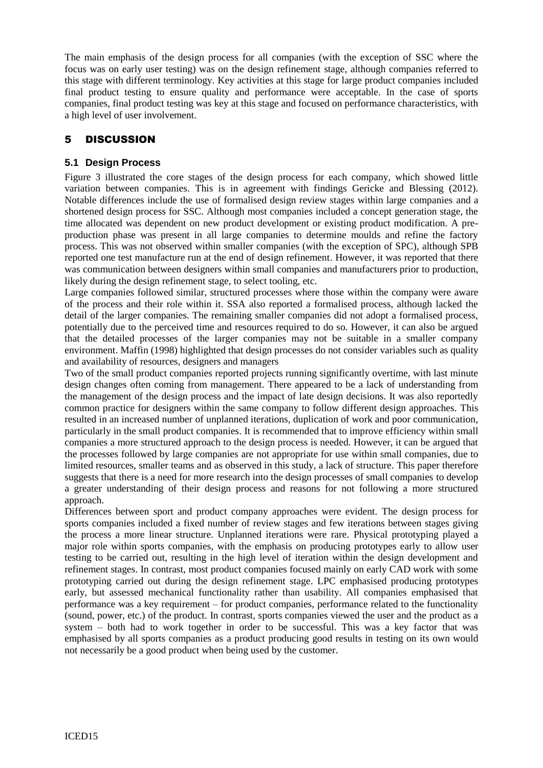The main emphasis of the design process for all companies (with the exception of SSC where the focus was on early user testing) was on the design refinement stage, although companies referred to this stage with different terminology. Key activities at this stage for large product companies included final product testing to ensure quality and performance were acceptable. In the case of sports companies, final product testing was key at this stage and focused on performance characteristics, with a high level of user involvement.

## 5 DISCUSSION

#### **5.1 Design Process**

Figure 3 illustrated the core stages of the design process for each company, which showed little variation between companies. This is in agreement with findings Gericke and Blessing (2012). Notable differences include the use of formalised design review stages within large companies and a shortened design process for SSC. Although most companies included a concept generation stage, the time allocated was dependent on new product development or existing product modification. A preproduction phase was present in all large companies to determine moulds and refine the factory process. This was not observed within smaller companies (with the exception of SPC), although SPB reported one test manufacture run at the end of design refinement. However, it was reported that there was communication between designers within small companies and manufacturers prior to production, likely during the design refinement stage, to select tooling, etc.

Large companies followed similar, structured processes where those within the company were aware of the process and their role within it. SSA also reported a formalised process, although lacked the detail of the larger companies. The remaining smaller companies did not adopt a formalised process, potentially due to the perceived time and resources required to do so. However, it can also be argued that the detailed processes of the larger companies may not be suitable in a smaller company environment. Maffin (1998) highlighted that design processes do not consider variables such as quality and availability of resources, designers and managers

Two of the small product companies reported projects running significantly overtime, with last minute design changes often coming from management. There appeared to be a lack of understanding from the management of the design process and the impact of late design decisions. It was also reportedly common practice for designers within the same company to follow different design approaches. This resulted in an increased number of unplanned iterations, duplication of work and poor communication, particularly in the small product companies. It is recommended that to improve efficiency within small companies a more structured approach to the design process is needed. However, it can be argued that the processes followed by large companies are not appropriate for use within small companies, due to limited resources, smaller teams and as observed in this study, a lack of structure. This paper therefore suggests that there is a need for more research into the design processes of small companies to develop a greater understanding of their design process and reasons for not following a more structured approach.

Differences between sport and product company approaches were evident. The design process for sports companies included a fixed number of review stages and few iterations between stages giving the process a more linear structure. Unplanned iterations were rare. Physical prototyping played a major role within sports companies, with the emphasis on producing prototypes early to allow user testing to be carried out, resulting in the high level of iteration within the design development and refinement stages. In contrast, most product companies focused mainly on early CAD work with some prototyping carried out during the design refinement stage. LPC emphasised producing prototypes early, but assessed mechanical functionality rather than usability. All companies emphasised that performance was a key requirement – for product companies, performance related to the functionality (sound, power, etc.) of the product. In contrast, sports companies viewed the user and the product as a system – both had to work together in order to be successful. This was a key factor that was emphasised by all sports companies as a product producing good results in testing on its own would not necessarily be a good product when being used by the customer.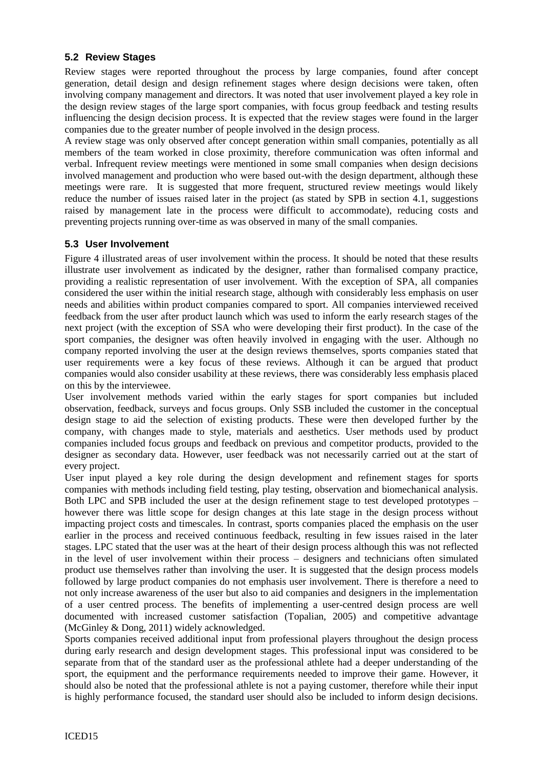#### **5.2 Review Stages**

Review stages were reported throughout the process by large companies, found after concept generation, detail design and design refinement stages where design decisions were taken, often involving company management and directors. It was noted that user involvement played a key role in the design review stages of the large sport companies, with focus group feedback and testing results influencing the design decision process. It is expected that the review stages were found in the larger companies due to the greater number of people involved in the design process.

A review stage was only observed after concept generation within small companies, potentially as all members of the team worked in close proximity, therefore communication was often informal and verbal. Infrequent review meetings were mentioned in some small companies when design decisions involved management and production who were based out-with the design department, although these meetings were rare. It is suggested that more frequent, structured review meetings would likely reduce the number of issues raised later in the project (as stated by SPB in section 4.1, suggestions raised by management late in the process were difficult to accommodate), reducing costs and preventing projects running over-time as was observed in many of the small companies.

#### **5.3 User Involvement**

Figure 4 illustrated areas of user involvement within the process. It should be noted that these results illustrate user involvement as indicated by the designer, rather than formalised company practice, providing a realistic representation of user involvement. With the exception of SPA, all companies considered the user within the initial research stage, although with considerably less emphasis on user needs and abilities within product companies compared to sport. All companies interviewed received feedback from the user after product launch which was used to inform the early research stages of the next project (with the exception of SSA who were developing their first product). In the case of the sport companies, the designer was often heavily involved in engaging with the user. Although no company reported involving the user at the design reviews themselves, sports companies stated that user requirements were a key focus of these reviews. Although it can be argued that product companies would also consider usability at these reviews, there was considerably less emphasis placed on this by the interviewee.

User involvement methods varied within the early stages for sport companies but included observation, feedback, surveys and focus groups. Only SSB included the customer in the conceptual design stage to aid the selection of existing products. These were then developed further by the company, with changes made to style, materials and aesthetics. User methods used by product companies included focus groups and feedback on previous and competitor products, provided to the designer as secondary data. However, user feedback was not necessarily carried out at the start of every project.

User input played a key role during the design development and refinement stages for sports companies with methods including field testing, play testing, observation and biomechanical analysis. Both LPC and SPB included the user at the design refinement stage to test developed prototypes – however there was little scope for design changes at this late stage in the design process without impacting project costs and timescales. In contrast, sports companies placed the emphasis on the user earlier in the process and received continuous feedback, resulting in few issues raised in the later stages. LPC stated that the user was at the heart of their design process although this was not reflected in the level of user involvement within their process – designers and technicians often simulated product use themselves rather than involving the user. It is suggested that the design process models followed by large product companies do not emphasis user involvement. There is therefore a need to not only increase awareness of the user but also to aid companies and designers in the implementation of a user centred process. The benefits of implementing a user-centred design process are well documented with increased customer satisfaction (Topalian, 2005) and competitive advantage (McGinley & Dong, 2011) widely acknowledged.

Sports companies received additional input from professional players throughout the design process during early research and design development stages. This professional input was considered to be separate from that of the standard user as the professional athlete had a deeper understanding of the sport, the equipment and the performance requirements needed to improve their game. However, it should also be noted that the professional athlete is not a paying customer, therefore while their input is highly performance focused, the standard user should also be included to inform design decisions.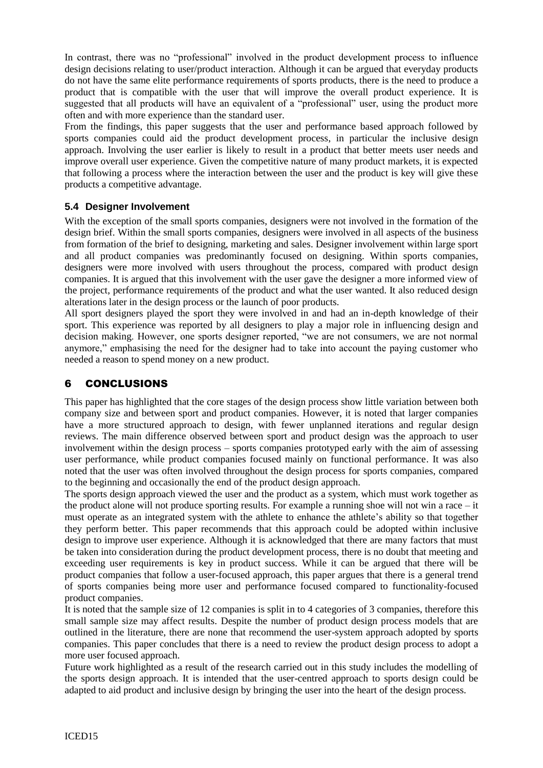In contrast, there was no "professional" involved in the product development process to influence design decisions relating to user/product interaction. Although it can be argued that everyday products do not have the same elite performance requirements of sports products, there is the need to produce a product that is compatible with the user that will improve the overall product experience. It is suggested that all products will have an equivalent of a "professional" user, using the product more often and with more experience than the standard user.

From the findings, this paper suggests that the user and performance based approach followed by sports companies could aid the product development process, in particular the inclusive design approach. Involving the user earlier is likely to result in a product that better meets user needs and improve overall user experience. Given the competitive nature of many product markets, it is expected that following a process where the interaction between the user and the product is key will give these products a competitive advantage.

#### **5.4 Designer Involvement**

With the exception of the small sports companies, designers were not involved in the formation of the design brief. Within the small sports companies, designers were involved in all aspects of the business from formation of the brief to designing, marketing and sales. Designer involvement within large sport and all product companies was predominantly focused on designing. Within sports companies, designers were more involved with users throughout the process, compared with product design companies. It is argued that this involvement with the user gave the designer a more informed view of the project, performance requirements of the product and what the user wanted. It also reduced design alterations later in the design process or the launch of poor products.

All sport designers played the sport they were involved in and had an in-depth knowledge of their sport. This experience was reported by all designers to play a major role in influencing design and decision making. However, one sports designer reported, "we are not consumers, we are not normal anymore," emphasising the need for the designer had to take into account the paying customer who needed a reason to spend money on a new product.

## 6 CONCLUSIONS

This paper has highlighted that the core stages of the design process show little variation between both company size and between sport and product companies. However, it is noted that larger companies have a more structured approach to design, with fewer unplanned iterations and regular design reviews. The main difference observed between sport and product design was the approach to user involvement within the design process – sports companies prototyped early with the aim of assessing user performance, while product companies focused mainly on functional performance. It was also noted that the user was often involved throughout the design process for sports companies, compared to the beginning and occasionally the end of the product design approach.

The sports design approach viewed the user and the product as a system, which must work together as the product alone will not produce sporting results. For example a running shoe will not win a race – it must operate as an integrated system with the athlete to enhance the athlete's ability so that together they perform better. This paper recommends that this approach could be adopted within inclusive design to improve user experience. Although it is acknowledged that there are many factors that must be taken into consideration during the product development process, there is no doubt that meeting and exceeding user requirements is key in product success. While it can be argued that there will be product companies that follow a user-focused approach, this paper argues that there is a general trend of sports companies being more user and performance focused compared to functionality-focused product companies.

It is noted that the sample size of 12 companies is split in to 4 categories of 3 companies, therefore this small sample size may affect results. Despite the number of product design process models that are outlined in the literature, there are none that recommend the user-system approach adopted by sports companies. This paper concludes that there is a need to review the product design process to adopt a more user focused approach.

Future work highlighted as a result of the research carried out in this study includes the modelling of the sports design approach. It is intended that the user-centred approach to sports design could be adapted to aid product and inclusive design by bringing the user into the heart of the design process.